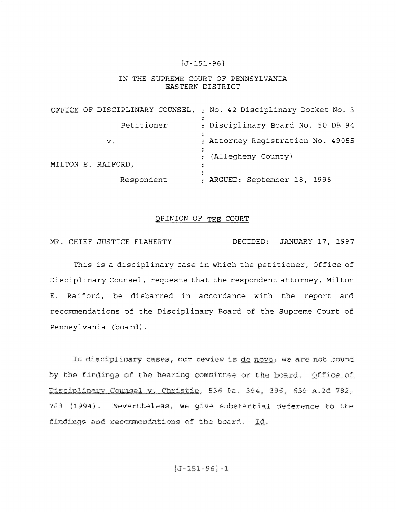## [J-151-96]

## IN THE SUPREME COURT OF PENNSYLVANIA EASTERN DISTRICT

|                    | OFFICE OF DISCIPLINARY COUNSEL, : No. 42 Disciplinary Docket No. 3 |
|--------------------|--------------------------------------------------------------------|
| Petitioner         | : Disciplinary Board No. 50 DB 94                                  |
| v.                 | : Attorney Registration No. 49055                                  |
| MILTON E. RAIFORD, | : (Allegheny County)<br>$\bullet$                                  |
| Respondent         | : ARGUED: September 18, 1996                                       |

## <u>OPINION OF THE COURT</u>

MR. CHIEF JUSTICE FLAHERTY DECIDED: JANUARY 17, 1997

This is a disciplinary case in which the petitioner, Office of Disciplinary Counsel, requests that the respondent attorney, Milton E. Raiford, be disbarred in accordance with the report and recommendations of the Disciplinary Board of the Supreme Court of Pennsylvania (board).

In disciplinary cases, by the findings of the hearing committee or the board. Office of Disciplinary Counsel v. Christie, 536 Pa. 394, 396, 639 A.2d 782, 783 (1994). Nevertheless, we give substantial deference to findings and recommendations of the board. Id.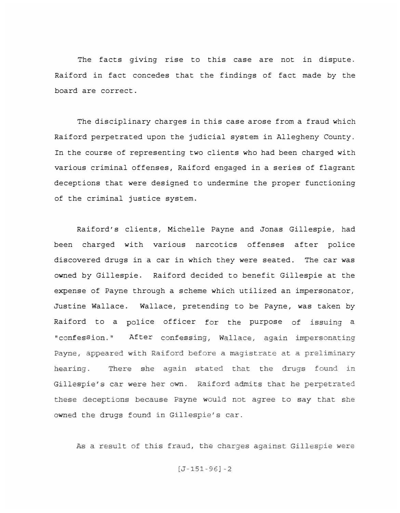The facts giving rise to this case are not in dispute. Raiford in fact concedes that the findings of fact made by the board are correct.

The disciplinary charges in this case arose from a fraud which Raiford perpetrated upon the judicial system in Allegheny County. In the course of representing two clients who had been charged with various criminal offenses, Raiford engaged in a series of flagrant deceptions that were designed to undermine the proper functioning of the criminal justice system.

Raiford's clients, Michelle Payne and Jonas Gillespie, had been charged with various narcotics offenses after police discovered drugs in a car in which they were seated. The car was owned by Gillespie. Raiford decided to benefit Gillespie at the expense of Payne through a scheme which utilized an impersonator, Justine Wallace. Wallace, pretending to be Payne, was taken by Raiford to a police officer for the purpose of issuing a After confessing, Wallace, again impersonating "confession." Payne, appeared with Raiford before a magistrate at a preliminary There she again stated that the drugs found in hearing. Gillespie's car were her own. Raiford admits that he perpetrated these deceptions because Payne would not agree to say that she owned the drugs found in Gillespie's car.

As a result of this fraud, the charges against Gillespie were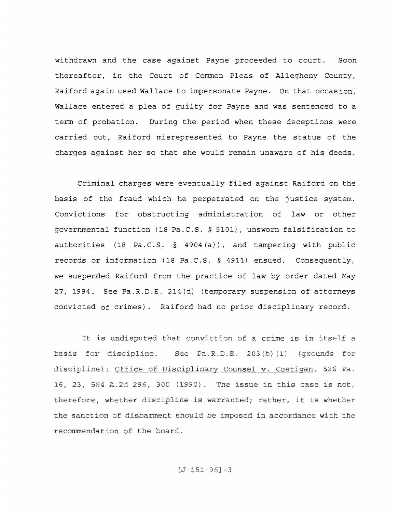withdrawn and the case against Payne proceeded to court. Soon thereafter, in the Court of Common Pleas of Allegheny County, Raiford again used Wallace to impersonate Payne. On that occasion, Wallace entered a plea of guilty for Payne and was sentenced to a term of probation. During the period when these deceptions were carried out, Raiford misrepresented to Payne the status of the charges against her so that she would remain unaware of his deeds.

Criminal charges were eventually filed against Raiford on the basis of the fraud which he perpetrated on the justice system. Convictions for obstructing administration of law or other governmental function (18 Pa.C.S. § 5101), unsworn falsification to authorities (18 Pa.C.S. § 4904 (a)), and tampering with public records or information (18 Pa.C.S. § 4911) ensued. Consequently, we suspended Raiford from the practice of law by order dated May 27, 1994. See Pa.R.D.E. 214(d) (temporary suspension of attorneys convicted crimes}. Raiford had no prior disciplinary record.

It is undisputed that conviction of a crime is in itself a basis for discipline. See Pa.R.D.E. 203(b)(1) (grounds for discipline); Office of Disciplinary Counsel v. Costigan, 526 Pa. 16, 23, 584 A.2d 296, 300 (1990). The issue in this case is not, therefore, whether discipline is warranted; rather, it is whether the sanction of disbarment should be imposed in accordance with the recommendation of the board.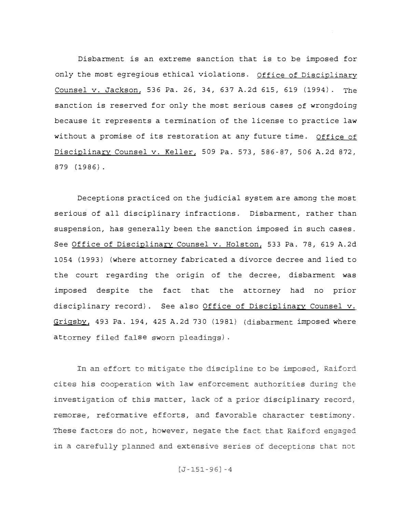Disbarment is an extreme sanction that is to be imposed for only the most egregious ethical violations. Office of Disciplinary <u>Counsel v. Jackson,</u> 536 Pa. 26, 34, 637 A.2d 615, 619 (1994). The sanction is reserved for only the most serious cases of wrongdoing because it represents a termination of the license to practice law without a promise of its restoration at any future time. Office of Disciplinary Counsel v. Keller, 509 Pa. 573, 586-87, 506 A.2d 872, 879 (1986).

Deceptions practiced on the judicial system are among the most serious of all disciplinary infractions. Disbarment, rather than suspension, has generally been the sanction imposed in such cases. See Office of Disciplinary Counsel v. Holston, 533 Pa. 78, 619 A.2d 1054 (1993} (where attorney fabricated a divorce decree and lied to the court regarding the origin of the decree, disbarment was imposed despite the fact that the attorney had no prior disciplinary record). See also Office of Disciplinary Counsel v. Grigsby, 493 Pa. 194, 425 A.2d 730 (1981) (disbarment imposed where attorney filed false sworn pleadings).

In an effort to mitigate the discipline to be imposed, Raiford cites his cooperation with law enforcement authorities during the investigation of this matter, lack of a prior disciplinary record, remorse, reformative efforts, and favorable character testimony. These factors do not, however, negate the fact that Raiford engaged a carefully planned and extensive series of deceptions that not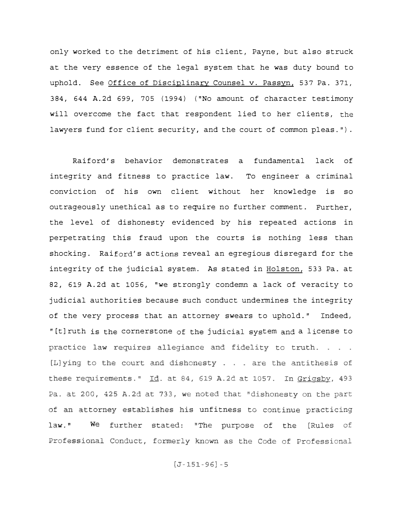only worked to the detriment of his client, Payne, but also struck at the very essence of the legal system that he was duty bound to uphold. See Office of Disciplinary Counsel v. Passyn, 537 Pa. 371, 384, 644 A.2d 699, 705 (1994) ("No amount of character testimony will overcome the fact that respondent lied to her clients, the lawyers fund for client security, and the court of common pleas.").

Raiford's behavior demonstrates a fundamental lack of integrity and fitness to practice law. To engineer a criminal conviction of his own client without her knowledge is so outrageously unethical as to require no further comment. Further, the level of dishonesty evidenced by his repeated actions in perpetrating this fraud upon the courts is nothing less than shocking. Raiford's actions reveal an egregious disregard for the integrity of the judicial system. As stated in Holston, 533 Pa. at 82, 619 A.2d at 1056, "we strongly condemn a lack of veracity to judicial authorities because such conduct undermines the integrity of the very process that an attorney swears to uphold." Indeed, " [t] ruth is the cornerstone of the judicial system and a license to practice law requires allegiance and fidelity to truth. . . . [L]ying to the court and dishonesty . . . are the antithesis of these requirements." Id. at 84, 619 A.2d at 1057. In Grigsby, 493 Pa. at 200, 425 A.2d at 733, we noted that "dishonesty on the part of an attorney establishes his unfitness to continue practicing  $law.$ " We further stated: "The purpose of the [Rules of Professional Conduct, formerly known as the Code of Professional